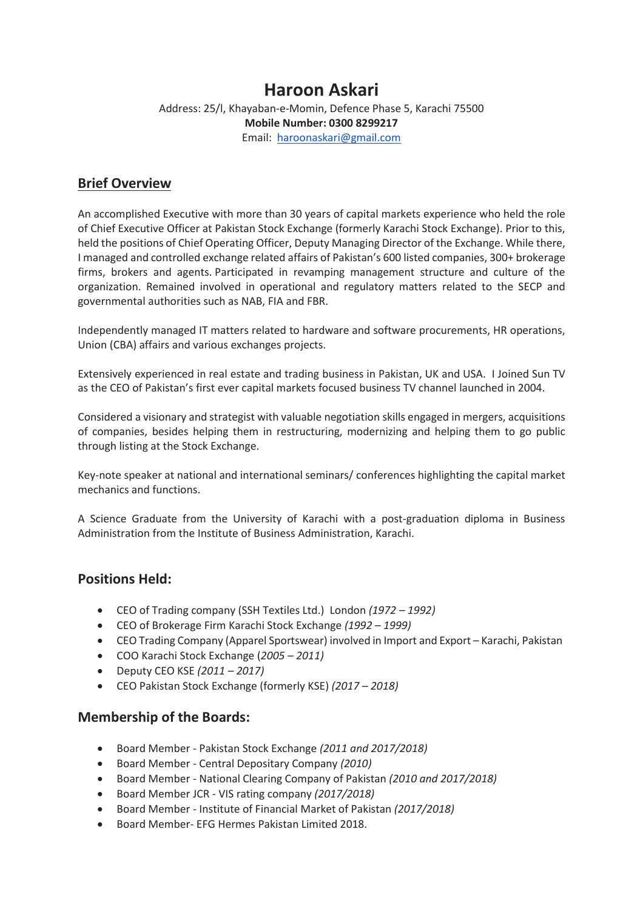# **Haroon Askari**

Address: 25/l, Khayaban-e-Momin, Defence Phase 5, Karachi 75500 **Mobile Number: 0300 8299217** Email: [haroonaskari@gmail.com](mailto:haroonaskari@gmail.com)

## **Brief Overview**

An accomplished Executive with more than 30 years of capital markets experience who held the role of Chief Executive Officer at Pakistan Stock Exchange (formerly Karachi Stock Exchange). Prior to this, held the positions of Chief Operating Officer, Deputy Managing Director of the Exchange. While there, I managed and controlled exchange related affairs of Pakistan's 600 listed companies, 300+ brokerage firms, brokers and agents. Participated in revamping management structure and culture of the organization. Remained involved in operational and regulatory matters related to the SECP and governmental authorities such as NAB, FIA and FBR.

Independently managed IT matters related to hardware and software procurements, HR operations, Union (CBA) affairs and various exchanges projects.

Extensively experienced in real estate and trading business in Pakistan, UK and USA. I Joined Sun TV as the CEO of Pakistan's first ever capital markets focused business TV channel launched in 2004.

Considered a visionary and strategist with valuable negotiation skills engaged in mergers, acquisitions of companies, besides helping them in restructuring, modernizing and helping them to go public through listing at the Stock Exchange.

Key-note speaker at national and international seminars/ conferences highlighting the capital market mechanics and functions.

A Science Graduate from the University of Karachi with a post-graduation diploma in Business Administration from the Institute of Business Administration, Karachi.

## **Positions Held:**

- CEO of Trading company (SSH Textiles Ltd.) London *(1972 – 1992)*
- CEO of Brokerage Firm Karachi Stock Exchange *(1992 – 1999)*
- CEO Trading Company (Apparel Sportswear) involved in Import and Export Karachi, Pakistan
- COO Karachi Stock Exchange (*2005 – 2011)*
- Deputy CEO KSE *(2011 – 2017)*
- CEO Pakistan Stock Exchange (formerly KSE) *(2017 – 2018)*

## **Membership of the Boards:**

- Board Member Pakistan Stock Exchange *(2011 and 2017/2018)*
- Board Member Central Depositary Company *(2010)*
- Board Member National Clearing Company of Pakistan *(2010 and 2017/2018)*
- Board Member JCR VIS rating company *(2017/2018)*
- Board Member Institute of Financial Market of Pakistan *(2017/2018)*
- Board Member- EFG Hermes Pakistan Limited 2018.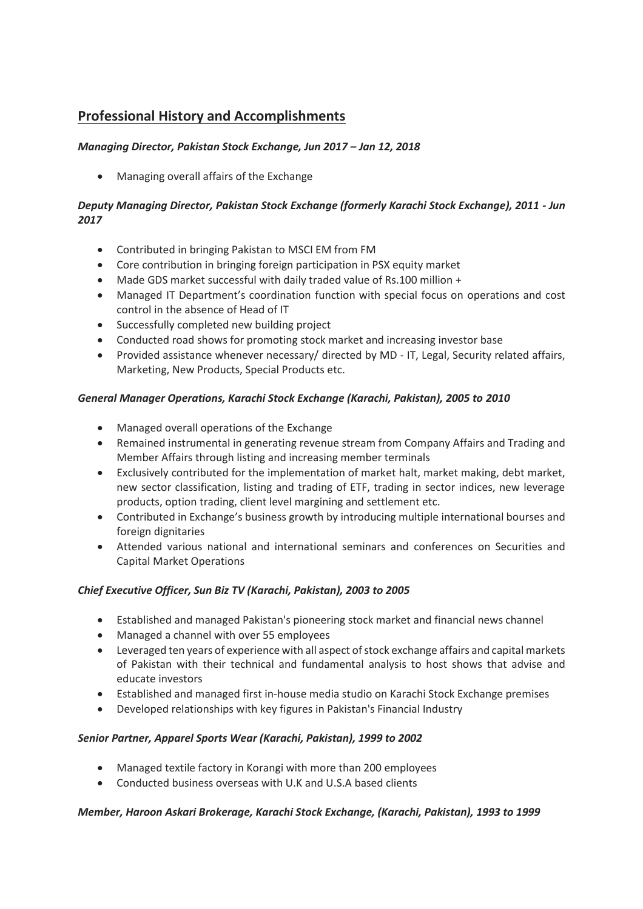## **Professional History and Accomplishments**

## *Managing Director, Pakistan Stock Exchange, Jun 2017 – Jan 12, 2018*

Managing overall affairs of the Exchange

## *Deputy Managing Director, Pakistan Stock Exchange (formerly Karachi Stock Exchange), 2011 - Jun 2017*

- Contributed in bringing Pakistan to MSCI EM from FM
- Core contribution in bringing foreign participation in PSX equity market
- Made GDS market successful with daily traded value of Rs.100 million +
- Managed IT Department's coordination function with special focus on operations and cost control in the absence of Head of IT
- Successfully completed new building project
- Conducted road shows for promoting stock market and increasing investor base
- Provided assistance whenever necessary/ directed by MD IT, Legal, Security related affairs, Marketing, New Products, Special Products etc.

### *General Manager Operations, Karachi Stock Exchange (Karachi, Pakistan), 2005 to 2010*

- Managed overall operations of the Exchange
- Remained instrumental in generating revenue stream from Company Affairs and Trading and Member Affairs through listing and increasing member terminals
- Exclusively contributed for the implementation of market halt, market making, debt market, new sector classification, listing and trading of ETF, trading in sector indices, new leverage products, option trading, client level margining and settlement etc.
- Contributed in Exchange's business growth by introducing multiple international bourses and foreign dignitaries
- Attended various national and international seminars and conferences on Securities and Capital Market Operations

## *Chief Executive Officer, Sun Biz TV (Karachi, Pakistan), 2003 to 2005*

- Established and managed Pakistan's pioneering stock market and financial news channel
- Managed a channel with over 55 employees
- Leveraged ten years of experience with all aspect of stock exchange affairs and capital markets of Pakistan with their technical and fundamental analysis to host shows that advise and educate investors
- Established and managed first in-house media studio on Karachi Stock Exchange premises
- Developed relationships with key figures in Pakistan's Financial Industry

#### *Senior Partner, Apparel Sports Wear (Karachi, Pakistan), 1999 to 2002*

- Managed textile factory in Korangi with more than 200 employees
- Conducted business overseas with U.K and U.S.A based clients

#### *Member, Haroon Askari Brokerage, Karachi Stock Exchange, (Karachi, Pakistan), 1993 to 1999*